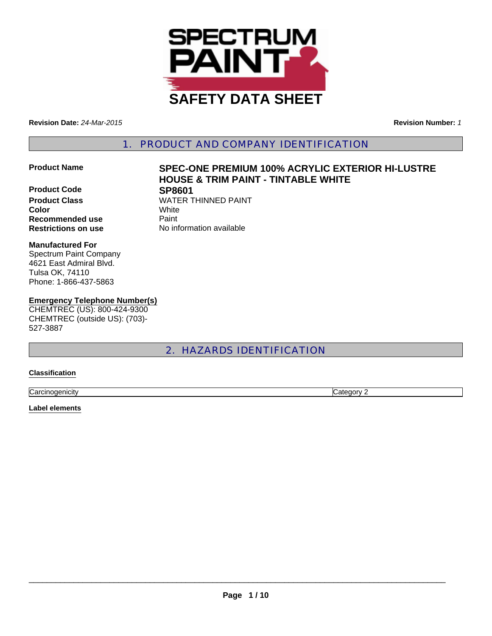

**Revision Date:** *24-Mar-2015* **Revision Number:** *1*

1. PRODUCT AND COMPANY IDENTIFICATION

**Product Code SP8601 Color** White **Recommended use** Paint **Restrictions on use** No information available

# **Product Name SPEC-ONE PREMIUM 100% ACRYLIC EXTERIOR HI-LUSTRE HOUSE & TRIM PAINT - TINTABLE WHITE**

**Product Class WATER THINNED PAINT** 

#### **Manufactured For**

Spectrum Paint Company 4621 East Admiral Blvd. Tulsa OK, 74110 Phone: 1-866-437-5863

#### **Emergency Telephone Number(s)**

CHEMTREC (US): 800-424-9300 CHEMTREC (outside US): (703)- 527-3887

## 2. HAZARDS IDENTIFICATION

#### **Classification**

**Carcinogenicity** Category 2

#### **Label elements**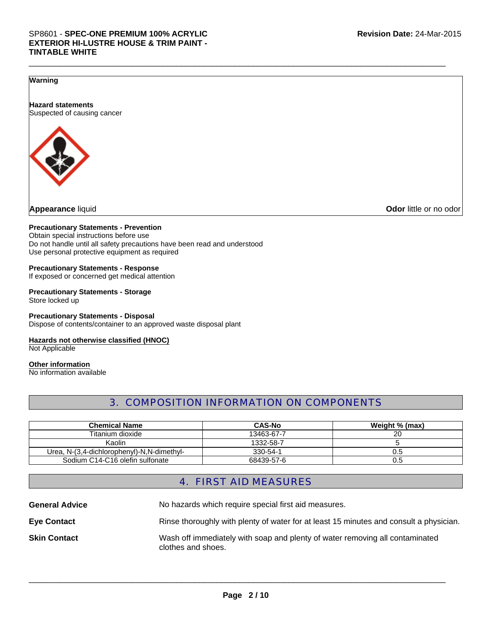#### **Warning**

**Hazard statements** Suspected of causing cancer



**Appearance** liquid **Odor** little or no odor

#### **Precautionary Statements - Prevention**

Obtain special instructions before use Do not handle until all safety precautions have been read and understood Use personal protective equipment as required

#### **Precautionary Statements - Response** If exposed or concerned get medical attention

**Precautionary Statements - Storage** Store locked up

**Precautionary Statements - Disposal** Dispose of contents/container to an approved waste disposal plant

#### **Hazards not otherwise classified (HNOC)**

Not Applicable

#### **Other information** No information available

## 3. COMPOSITION INFORMATION ON COMPONENTS

\_\_\_\_\_\_\_\_\_\_\_\_\_\_\_\_\_\_\_\_\_\_\_\_\_\_\_\_\_\_\_\_\_\_\_\_\_\_\_\_\_\_\_\_\_\_\_\_\_\_\_\_\_\_\_\_\_\_\_\_\_\_\_\_\_\_\_\_\_\_\_\_\_\_\_\_\_\_\_\_\_\_\_\_\_\_\_\_\_\_\_\_\_

| <b>Chemical Name</b>                       | CAS-No         | Weight % (max) |
|--------------------------------------------|----------------|----------------|
| Titanium dioxide                           | 13463-67-7     | 20             |
| Kaolin                                     | 1332-58-7      |                |
| Urea, N-(3,4-dichlorophenyl)-N,N-dimethyl- | $330 - 54 - 1$ | J.5            |
| Sodium C14-C16 olefin sulfonate            | 68439-57-6     | U.5            |

## 4. FIRST AID MEASURES

**General Advice** No hazards which require special first aid measures. **Eye Contact** Rinse thoroughly with plenty of water for at least 15 minutes and consult a physician. **Skin Contact** Wash off immediately with soap and plenty of water removing all contaminated clothes and shoes.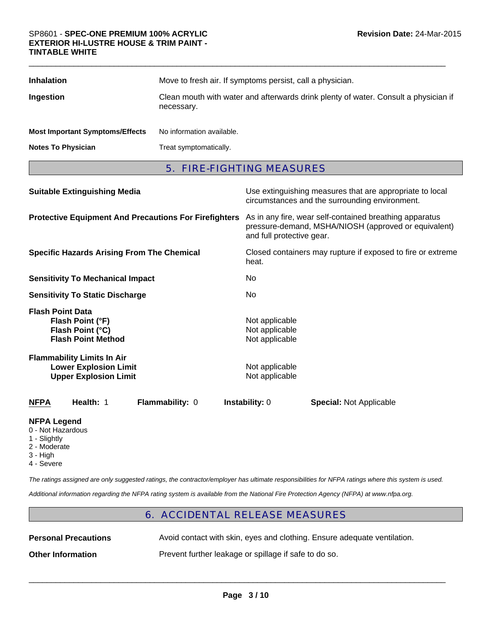| <b>Inhalation</b>                      | Move to fresh air. If symptoms persist, call a physician.                                         |
|----------------------------------------|---------------------------------------------------------------------------------------------------|
| Ingestion                              | Clean mouth with water and afterwards drink plenty of water. Consult a physician if<br>necessary. |
| <b>Most Important Symptoms/Effects</b> | No information available.                                                                         |
| <b>Notes To Physician</b>              | Treat symptomatically.                                                                            |

\_\_\_\_\_\_\_\_\_\_\_\_\_\_\_\_\_\_\_\_\_\_\_\_\_\_\_\_\_\_\_\_\_\_\_\_\_\_\_\_\_\_\_\_\_\_\_\_\_\_\_\_\_\_\_\_\_\_\_\_\_\_\_\_\_\_\_\_\_\_\_\_\_\_\_\_\_\_\_\_\_\_\_\_\_\_\_\_\_\_\_\_\_

## 5. FIRE-FIGHTING MEASURES

| <b>Suitable Extinguishing Media</b>                                                               | Use extinguishing measures that are appropriate to local<br>circumstances and the surrounding environment.                                   |  |
|---------------------------------------------------------------------------------------------------|----------------------------------------------------------------------------------------------------------------------------------------------|--|
| <b>Protective Equipment And Precautions For Firefighters</b>                                      | As in any fire, wear self-contained breathing apparatus<br>pressure-demand, MSHA/NIOSH (approved or equivalent)<br>and full protective gear. |  |
| <b>Specific Hazards Arising From The Chemical</b>                                                 | Closed containers may rupture if exposed to fire or extreme<br>heat.                                                                         |  |
| <b>Sensitivity To Mechanical Impact</b>                                                           | No.                                                                                                                                          |  |
| <b>Sensitivity To Static Discharge</b>                                                            | No                                                                                                                                           |  |
| <b>Flash Point Data</b><br>Flash Point (°F)<br>Flash Point (°C)<br><b>Flash Point Method</b>      | Not applicable<br>Not applicable<br>Not applicable                                                                                           |  |
| <b>Flammability Limits In Air</b><br><b>Lower Explosion Limit</b><br><b>Upper Explosion Limit</b> | Not applicable<br>Not applicable                                                                                                             |  |
| Health: 1<br><b>NFPA</b><br><b>Flammability: 0</b>                                                | <b>Instability: 0</b><br><b>Special: Not Applicable</b>                                                                                      |  |
| <b>NIFRA LAMAMA</b>                                                                               |                                                                                                                                              |  |

#### **NFPA Legend**

- 0 Not Hazardous
- 1 Slightly
- 2 Moderate
- 3 High
- 4 Severe

*The ratings assigned are only suggested ratings, the contractor/employer has ultimate responsibilities for NFPA ratings where this system is used.*

*Additional information regarding the NFPA rating system is available from the National Fire Protection Agency (NFPA) at www.nfpa.org.*

## 6. ACCIDENTAL RELEASE MEASURES

| <b>Personal Precautions</b> | Avoid contact with skin, eyes and clothing. Ensure adequate ventilation. |
|-----------------------------|--------------------------------------------------------------------------|
| <b>Other Information</b>    | Prevent further leakage or spillage if safe to do so.                    |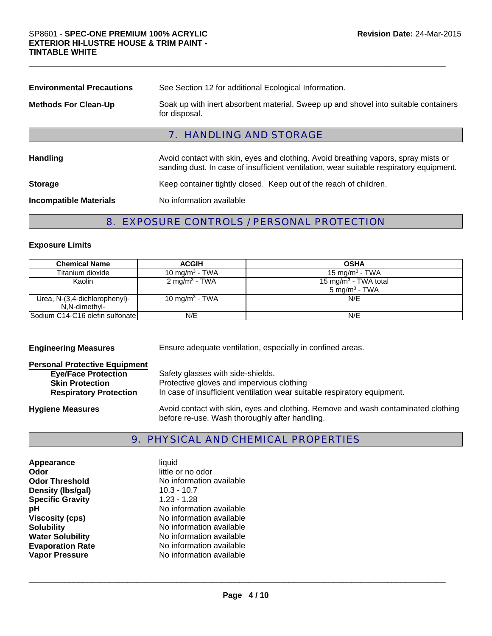| <b>Environmental Precautions</b> | See Section 12 for additional Ecological Information.                                                                                                                         |  |
|----------------------------------|-------------------------------------------------------------------------------------------------------------------------------------------------------------------------------|--|
| <b>Methods For Clean-Up</b>      | Soak up with inert absorbent material. Sweep up and shovel into suitable containers<br>for disposal.                                                                          |  |
|                                  | <b>7. HANDLING AND STORAGE</b>                                                                                                                                                |  |
| <b>Handling</b>                  | Avoid contact with skin, eyes and clothing. Avoid breathing vapors, spray mists or<br>sanding dust. In case of insufficient ventilation, wear suitable respiratory equipment. |  |
| <b>Storage</b>                   | Keep container tightly closed. Keep out of the reach of children.                                                                                                             |  |
| <b>Incompatible Materials</b>    | No information available                                                                                                                                                      |  |
|                                  |                                                                                                                                                                               |  |

\_\_\_\_\_\_\_\_\_\_\_\_\_\_\_\_\_\_\_\_\_\_\_\_\_\_\_\_\_\_\_\_\_\_\_\_\_\_\_\_\_\_\_\_\_\_\_\_\_\_\_\_\_\_\_\_\_\_\_\_\_\_\_\_\_\_\_\_\_\_\_\_\_\_\_\_\_\_\_\_\_\_\_\_\_\_\_\_\_\_\_\_\_

## 8. EXPOSURE CONTROLS / PERSONAL PROTECTION

### **Exposure Limits**

| <b>Chemical Name</b>                           | <b>ACGIH</b>               | <b>OSHA</b>                                                  |
|------------------------------------------------|----------------------------|--------------------------------------------------------------|
| Titanium dioxide                               | 10 mg/m <sup>3</sup> - TWA | 15 mg/m <sup>3</sup> - TWA                                   |
| Kaolin                                         | 2 mg/m <sup>3</sup> - TWA  | 15 mg/m <sup>3</sup> - TWA total<br>$5 \text{ mg/m}^3$ - TWA |
| Urea, N-(3,4-dichlorophenyl)-<br>N,N-dimethyl- | 10 mg/m <sup>3</sup> - TWA | N/E                                                          |
| Sodium C14-C16 olefin sulfonate                | N/E                        | N/E                                                          |

| <b>Engineering Measures</b>                                                                                                   | Ensure adequate ventilation, especially in confined areas.                                                                                                 |  |
|-------------------------------------------------------------------------------------------------------------------------------|------------------------------------------------------------------------------------------------------------------------------------------------------------|--|
| <b>Personal Protective Equipment</b><br><b>Eye/Face Protection</b><br><b>Skin Protection</b><br><b>Respiratory Protection</b> | Safety glasses with side-shields.<br>Protective gloves and impervious clothing<br>In case of insufficient ventilation wear suitable respiratory equipment. |  |
| <b>Hygiene Measures</b>                                                                                                       | Avoid contact with skin, eyes and clothing. Remove and wash contaminated clothing<br>before re-use. Wash thoroughly after handling.                        |  |

## 9. PHYSICAL AND CHEMICAL PROPERTIES

| Appearance              | liquid                   |
|-------------------------|--------------------------|
| Odor                    | little or no odor        |
| <b>Odor Threshold</b>   | No information available |
| Density (Ibs/gal)       | $10.3 - 10.7$            |
| <b>Specific Gravity</b> | $1.23 - 1.28$            |
| рH                      | No information available |
| <b>Viscosity (cps)</b>  | No information available |
| <b>Solubility</b>       | No information available |
| <b>Water Solubility</b> | No information available |
| <b>Evaporation Rate</b> | No information available |
| <b>Vapor Pressure</b>   | No information available |
|                         |                          |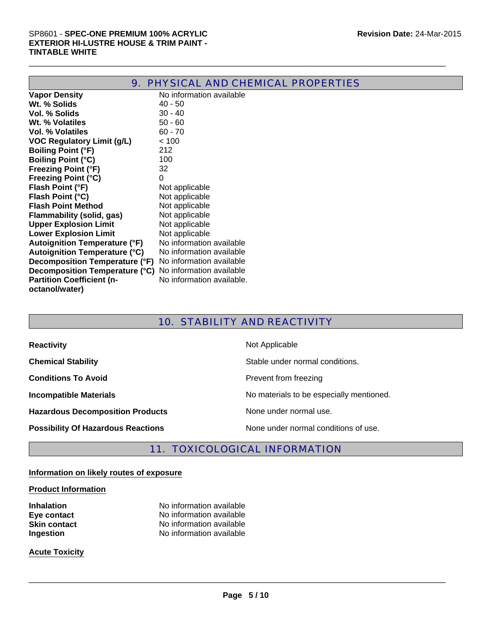| 9. PHYSICAL AND CHEMICAL PROPERTIES  |                           |  |  |
|--------------------------------------|---------------------------|--|--|
| <b>Vapor Density</b>                 | No information available  |  |  |
| Wt. % Solids                         | $40 - 50$                 |  |  |
| Vol. % Solids                        | $30 - 40$                 |  |  |
| Wt. % Volatiles                      | $50 - 60$                 |  |  |
| <b>Vol. % Volatiles</b>              | $60 - 70$                 |  |  |
| <b>VOC Regulatory Limit (g/L)</b>    | < 100                     |  |  |
| <b>Boiling Point (°F)</b>            | 212                       |  |  |
| <b>Boiling Point (°C)</b>            | 100                       |  |  |
| <b>Freezing Point (°F)</b>           | 32                        |  |  |
| <b>Freezing Point (°C)</b>           | 0                         |  |  |
| Flash Point (°F)                     | Not applicable            |  |  |
| Flash Point (°C)                     | Not applicable            |  |  |
| <b>Flash Point Method</b>            | Not applicable            |  |  |
| Flammability (solid, gas)            | Not applicable            |  |  |
| <b>Upper Explosion Limit</b>         | Not applicable            |  |  |
| <b>Lower Explosion Limit</b>         | Not applicable            |  |  |
| <b>Autoignition Temperature (°F)</b> | No information available  |  |  |
| <b>Autoignition Temperature (°C)</b> | No information available  |  |  |
| Decomposition Temperature (°F)       | No information available  |  |  |
| Decomposition Temperature (°C)       | No information available  |  |  |
| <b>Partition Coefficient (n-</b>     | No information available. |  |  |
| octanol/water)                       |                           |  |  |
|                                      |                           |  |  |

\_\_\_\_\_\_\_\_\_\_\_\_\_\_\_\_\_\_\_\_\_\_\_\_\_\_\_\_\_\_\_\_\_\_\_\_\_\_\_\_\_\_\_\_\_\_\_\_\_\_\_\_\_\_\_\_\_\_\_\_\_\_\_\_\_\_\_\_\_\_\_\_\_\_\_\_\_\_\_\_\_\_\_\_\_\_\_\_\_\_\_\_\_

## 10. STABILITY AND REACTIVITY

| <b>Reactivity</b>                         | Not Applicable                           |
|-------------------------------------------|------------------------------------------|
| <b>Chemical Stability</b>                 | Stable under normal conditions.          |
| <b>Conditions To Avoid</b>                | Prevent from freezing                    |
| <b>Incompatible Materials</b>             | No materials to be especially mentioned. |
| <b>Hazardous Decomposition Products</b>   | None under normal use.                   |
| <b>Possibility Of Hazardous Reactions</b> | None under normal conditions of use.     |

## 11. TOXICOLOGICAL INFORMATION

## **Information on likely routes of exposure**

#### **Product Information**

**Inhalation** No information available

**Eye contact** No information available **Skin contact** No information available **Ingestion** No information available

#### **Acute Toxicity**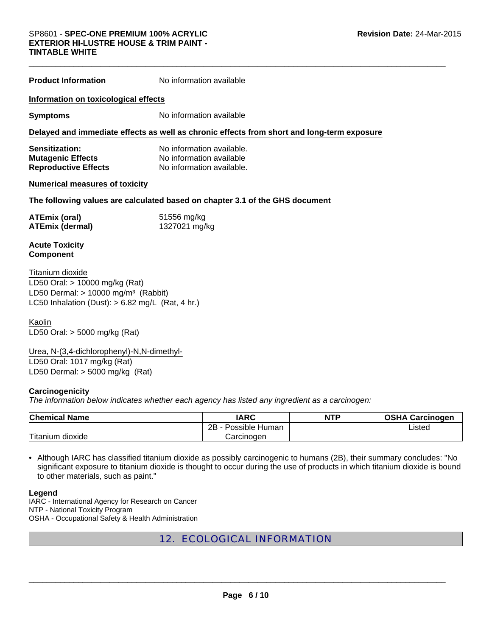#### SP8601 - **SPEC-ONE PREMIUM 100% ACRYLIC EXTERIOR HI-LUSTRE HOUSE & TRIM PAINT - TINTABLE WHITE**

| <b>Product Information</b>                                                                                                                                    | No information available                                                                   |  |  |
|---------------------------------------------------------------------------------------------------------------------------------------------------------------|--------------------------------------------------------------------------------------------|--|--|
| Information on toxicological effects                                                                                                                          |                                                                                            |  |  |
| <b>Symptoms</b>                                                                                                                                               | No information available                                                                   |  |  |
|                                                                                                                                                               | Delayed and immediate effects as well as chronic effects from short and long-term exposure |  |  |
| Sensitization:<br><b>Mutagenic Effects</b><br><b>Reproductive Effects</b>                                                                                     | No information available.<br>No information available<br>No information available.         |  |  |
| <b>Numerical measures of toxicity</b>                                                                                                                         |                                                                                            |  |  |
| The following values are calculated based on chapter 3.1 of the GHS document                                                                                  |                                                                                            |  |  |
| <b>ATEmix (oral)</b><br><b>ATEmix (dermal)</b>                                                                                                                | 51556 mg/kg<br>1327021 mg/kg                                                               |  |  |
| <b>Acute Toxicity</b><br><b>Component</b>                                                                                                                     |                                                                                            |  |  |
| Titanium dioxide<br>LD50 Oral: > 10000 mg/kg (Rat)<br>LD50 Dermal: $> 10000$ mg/m <sup>3</sup> (Rabbit)<br>LC50 Inhalation (Dust): $> 6.82$ mg/L (Rat, 4 hr.) |                                                                                            |  |  |

Kaolin LD50 Oral: > 5000 mg/kg (Rat)

LD50 Oral: 1017 mg/kg (Rat) LD50 Dermal: > 5000 mg/kg (Rat) Urea, N-(3,4-dichlorophenyl)-N,N-dimethyl-

#### **Carcinogenicity**

*The information below indicates whether each agency has listed any ingredient as a carcinogen:*

| <b>Chemical Name</b> | IARC                     | <b>NTP</b> | <b>OSHA Carcinogen</b> |
|----------------------|--------------------------|------------|------------------------|
|                      | $2B -$<br>Possible Human |            | Listed                 |
| Titanium dioxide     | Carcinoɑen               |            |                        |

• Although IARC has classified titanium dioxide as possibly carcinogenic to humans (2B), their summary concludes: "No significant exposure to titanium dioxide is thought to occur during the use of products in which titanium dioxide is bound to other materials, such as paint."

#### **Legend**

IARC - International Agency for Research on Cancer NTP - National Toxicity Program OSHA - Occupational Safety & Health Administration

## 12. ECOLOGICAL INFORMATION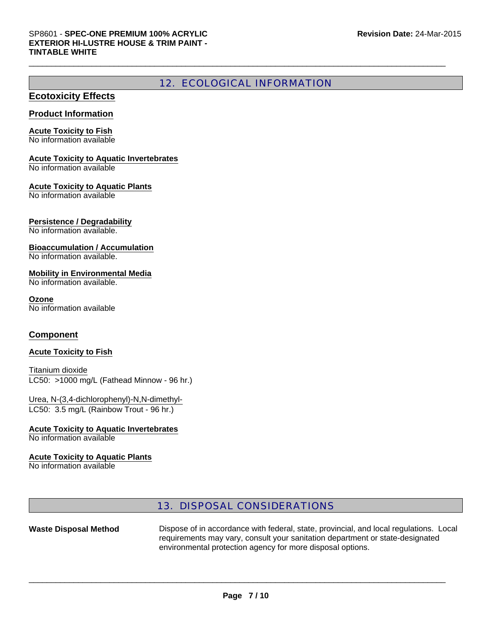## 12. ECOLOGICAL INFORMATION

\_\_\_\_\_\_\_\_\_\_\_\_\_\_\_\_\_\_\_\_\_\_\_\_\_\_\_\_\_\_\_\_\_\_\_\_\_\_\_\_\_\_\_\_\_\_\_\_\_\_\_\_\_\_\_\_\_\_\_\_\_\_\_\_\_\_\_\_\_\_\_\_\_\_\_\_\_\_\_\_\_\_\_\_\_\_\_\_\_\_\_\_\_

### **Ecotoxicity Effects**

#### **Product Information**

#### **Acute Toxicity to Fish**

No information available

#### **Acute Toxicity to Aquatic Invertebrates**

No information available

#### **Acute Toxicity to Aquatic Plants**

No information available

#### **Persistence / Degradability**

No information available.

#### **Bioaccumulation / Accumulation**

No information available.

#### **Mobility in Environmental Media**

No information available.

#### **Ozone**

No information available

#### **Component**

#### **Acute Toxicity to Fish**

#### LC50: >1000 mg/L (Fathead Minnow - 96 hr.) Titanium dioxide

LC50: 3.5 mg/L (Rainbow Trout - 96 hr.) Urea, N-(3,4-dichlorophenyl)-N,N-dimethyl-

### **Acute Toxicity to Aquatic Invertebrates**

No information available

#### **Acute Toxicity to Aquatic Plants**

No information available

## 13. DISPOSAL CONSIDERATIONS

Waste Disposal Method **Dispose of in accordance with federal, state, provincial, and local regulations. Local** requirements may vary, consult your sanitation department or state-designated environmental protection agency for more disposal options.

\_\_\_\_\_\_\_\_\_\_\_\_\_\_\_\_\_\_\_\_\_\_\_\_\_\_\_\_\_\_\_\_\_\_\_\_\_\_\_\_\_\_\_\_\_\_\_\_\_\_\_\_\_\_\_\_\_\_\_\_\_\_\_\_\_\_\_\_\_\_\_\_\_\_\_\_\_\_\_\_\_\_\_\_\_\_\_\_\_\_\_\_\_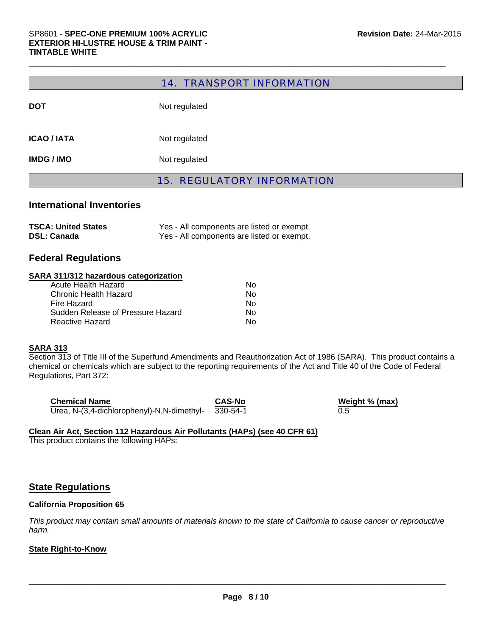#### 14. TRANSPORT INFORMATION

\_\_\_\_\_\_\_\_\_\_\_\_\_\_\_\_\_\_\_\_\_\_\_\_\_\_\_\_\_\_\_\_\_\_\_\_\_\_\_\_\_\_\_\_\_\_\_\_\_\_\_\_\_\_\_\_\_\_\_\_\_\_\_\_\_\_\_\_\_\_\_\_\_\_\_\_\_\_\_\_\_\_\_\_\_\_\_\_\_\_\_\_\_

|                    | <b>15. REGULATORY INFORMATION</b> |
|--------------------|-----------------------------------|
| <b>IMDG / IMO</b>  | Not regulated                     |
| <b>ICAO / IATA</b> | Not regulated                     |
| <b>DOT</b>         | Not regulated                     |

#### **International Inventories**

| <b>TSCA: United States</b> | Yes - All components are listed or exempt. |
|----------------------------|--------------------------------------------|
| <b>DSL: Canada</b>         | Yes - All components are listed or exempt. |

#### **Federal Regulations**

#### **SARA 311/312 hazardous categorization**

| N٥ |
|----|
| N٥ |
| N٥ |
| N٥ |
| N٥ |
|    |

#### **SARA 313**

Section 313 of Title III of the Superfund Amendments and Reauthorization Act of 1986 (SARA). This product contains a chemical or chemicals which are subject to the reporting requirements of the Act and Title 40 of the Code of Federal Regulations, Part 372:

| <b>Chemical Name</b>                       | <b>CAS-No</b> | We  |
|--------------------------------------------|---------------|-----|
| Urea, N-(3,4-dichlorophenyl)-N,N-dimethyl- | 330-54-1      | 0.5 |

**Weight % (max)** 0.5

#### **Clean Air Act, Section 112 Hazardous Air Pollutants (HAPs) (see 40 CFR 61)**

This product contains the following HAPs:

#### **State Regulations**

#### **California Proposition 65**

*This product may contain small amounts of materials known to the state of California to cause cancer or reproductive harm.*

 $\Box$ 

#### **State Right-to-Know**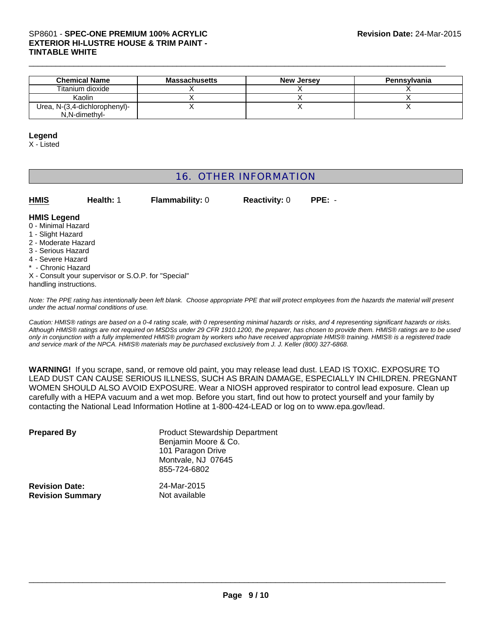#### SP8601 - **SPEC-ONE PREMIUM 100% ACRYLIC EXTERIOR HI-LUSTRE HOUSE & TRIM PAINT - TINTABLE WHITE**

| <b>Chemical Name</b>          | <b>Massachusetts</b> | <b>New Jersey</b> | <b>Pennsylvania</b> |
|-------------------------------|----------------------|-------------------|---------------------|
| Titanium dioxide              |                      |                   |                     |
| Kaolin                        |                      |                   |                     |
| Urea, N-(3,4-dichlorophenyl)- |                      |                   |                     |
| N.N-dimethyl-                 |                      |                   |                     |

\_\_\_\_\_\_\_\_\_\_\_\_\_\_\_\_\_\_\_\_\_\_\_\_\_\_\_\_\_\_\_\_\_\_\_\_\_\_\_\_\_\_\_\_\_\_\_\_\_\_\_\_\_\_\_\_\_\_\_\_\_\_\_\_\_\_\_\_\_\_\_\_\_\_\_\_\_\_\_\_\_\_\_\_\_\_\_\_\_\_\_\_\_

#### **Legend**

X - Listed

## 16. OTHER INFORMATION

| <b>HMIS</b> | Health: 1 | <b>Flammability: 0</b> | <b>Reactivity: 0</b> | PPE: - |
|-------------|-----------|------------------------|----------------------|--------|
|             |           |                        |                      |        |

#### **HMIS Legend**

- 0 Minimal Hazard
- 1 Slight Hazard
- 2 Moderate Hazard
- 3 Serious Hazard
- 4 Severe Hazard
- \* Chronic Hazard
- X Consult your supervisor or S.O.P. for "Special"
- handling instructions.

*Note: The PPE rating has intentionally been left blank. Choose appropriate PPE that will protect employees from the hazards the material will present under the actual normal conditions of use.*

*Caution: HMIS® ratings are based on a 0-4 rating scale, with 0 representing minimal hazards or risks, and 4 representing significant hazards or risks. Although HMIS® ratings are not required on MSDSs under 29 CFR 1910.1200, the preparer, has chosen to provide them. HMIS® ratings are to be used only in conjunction with a fully implemented HMIS® program by workers who have received appropriate HMIS® training. HMIS® is a registered trade and service mark of the NPCA. HMIS® materials may be purchased exclusively from J. J. Keller (800) 327-6868.*

**WARNING!** If you scrape, sand, or remove old paint, you may release lead dust. LEAD IS TOXIC. EXPOSURE TO LEAD DUST CAN CAUSE SERIOUS ILLNESS, SUCH AS BRAIN DAMAGE, ESPECIALLY IN CHILDREN. PREGNANT WOMEN SHOULD ALSO AVOID EXPOSURE. Wear a NIOSH approved respirator to control lead exposure. Clean up carefully with a HEPA vacuum and a wet mop. Before you start, find out how to protect yourself and your family by contacting the National Lead Information Hotline at 1-800-424-LEAD or log on to www.epa.gov/lead.

| <b>Prepared By</b>      | <b>Product Stewardship Department</b><br>Benjamin Moore & Co.<br>101 Paragon Drive<br>Montvale, NJ 07645<br>855-724-6802 |
|-------------------------|--------------------------------------------------------------------------------------------------------------------------|
| <b>Revision Date:</b>   | 24-Mar-2015                                                                                                              |
| <b>Revision Summary</b> | Not available                                                                                                            |

 $\_$  ,  $\_$  ,  $\_$  ,  $\_$  ,  $\_$  ,  $\_$  ,  $\_$  ,  $\_$  ,  $\_$  ,  $\_$  ,  $\_$  ,  $\_$  ,  $\_$  ,  $\_$  ,  $\_$  ,  $\_$  ,  $\_$  ,  $\_$  ,  $\_$  ,  $\_$  ,  $\_$  ,  $\_$  ,  $\_$  ,  $\_$  ,  $\_$  ,  $\_$  ,  $\_$  ,  $\_$  ,  $\_$  ,  $\_$  ,  $\_$  ,  $\_$  ,  $\_$  ,  $\_$  ,  $\_$  ,  $\_$  ,  $\_$  ,